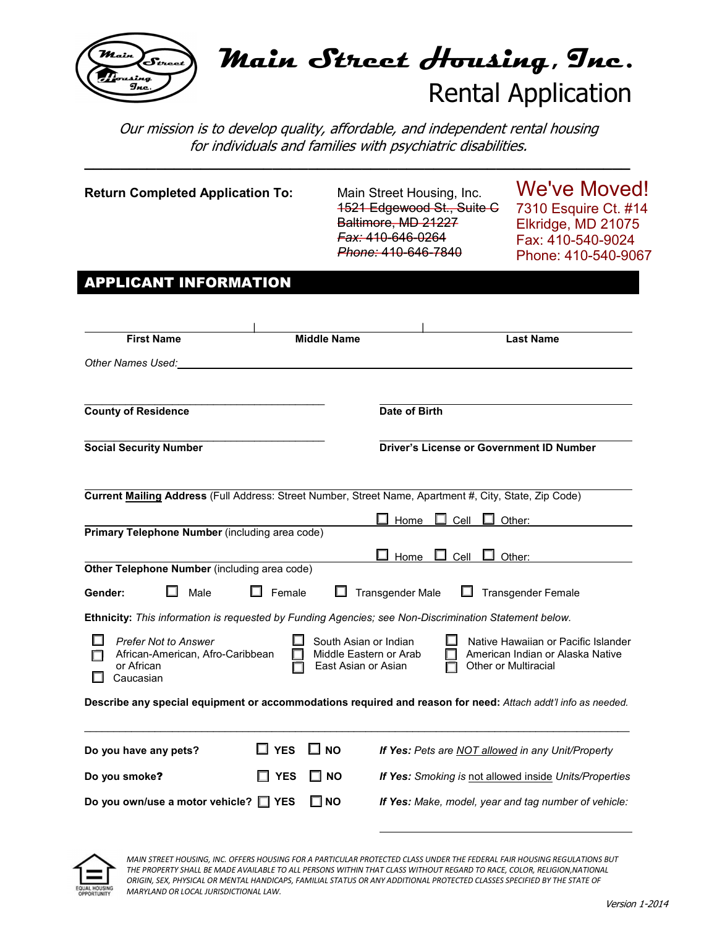

# **Main Street Housing, Inc.**  Rental Application

Our mission is to develop quality, affordable, and independent rental housing for individuals and families with psychiatric disabilities.

**\_\_\_\_\_\_\_\_\_\_\_\_\_\_\_\_\_\_\_\_\_\_\_\_\_\_\_\_\_\_\_\_\_\_\_\_\_\_\_\_\_\_\_\_\_\_\_\_\_\_\_\_\_\_\_\_\_\_\_\_\_** 

| <b>Return Completed Application To:</b>                                                    | Main Street Housing, Inc.<br>1521 Edgewood St., Suite G<br>Baltimore, MD 21227<br>Fax: 410-646-0264<br>Phone: 410-646-7840 | We've Moved!<br>7310 Esquire Ct. #14<br>Elkridge, MD 21075<br>Fax: 410-540-9024<br>Phone: 410-540-9067 |
|--------------------------------------------------------------------------------------------|----------------------------------------------------------------------------------------------------------------------------|--------------------------------------------------------------------------------------------------------|
| <b>APPLICANT INFORMATION</b>                                                               |                                                                                                                            |                                                                                                        |
|                                                                                            |                                                                                                                            |                                                                                                        |
| <b>First Name</b>                                                                          | <b>Middle Name</b>                                                                                                         | <b>Last Name</b>                                                                                       |
| Other Names Used:                                                                          |                                                                                                                            |                                                                                                        |
|                                                                                            |                                                                                                                            |                                                                                                        |
| <b>County of Residence</b>                                                                 | Date of Birth                                                                                                              |                                                                                                        |
|                                                                                            |                                                                                                                            |                                                                                                        |
| <b>Social Security Number</b>                                                              | <b>Driver's License or Government ID Number</b>                                                                            |                                                                                                        |
|                                                                                            |                                                                                                                            |                                                                                                        |
|                                                                                            | Current Mailing Address (Full Address: Street Number, Street Name, Apartment #, City, State, Zip Code)                     |                                                                                                        |
| Primary Telephone Number (including area code)                                             | Home<br>Cell                                                                                                               | Other:                                                                                                 |
|                                                                                            | $\Box$                                                                                                                     |                                                                                                        |
| Other Telephone Number (including area code)                                               | $\Box$ Home<br>Cell                                                                                                        | Other:                                                                                                 |
| Gender:<br>Male                                                                            | Female<br><b>Transgender Male</b>                                                                                          | <b>Transgender Female</b>                                                                              |
|                                                                                            | Ethnicity: This information is requested by Funding Agencies; see Non-Discrimination Statement below.                      |                                                                                                        |
| <b>Prefer Not to Answer</b><br>African-American, Afro-Caribbean<br>or African<br>Caucasian | South Asian or Indian<br>Middle Eastern or Arab<br>East Asian or Asian                                                     | Native Hawaiian or Pacific Islander<br>American Indian or Alaska Native<br>Other or Multiracial        |
|                                                                                            | Describe any special equipment or accommodations required and reason for need: Attach addt'l info as needed.               |                                                                                                        |
|                                                                                            |                                                                                                                            |                                                                                                        |
| $\square$ YES<br>Do you have any pets?                                                     | ∐ мо                                                                                                                       | If Yes: Pets are NOT allowed in any Unit/Property                                                      |
| <b>YES</b><br>Do you smoke?                                                                | $\square$ NO                                                                                                               | If Yes: Smoking is not allowed inside Units/Properties                                                 |
| Do you own/use a motor vehicle? □ YES                                                      | $\square$ NO                                                                                                               | If Yes: Make, model, year and tag number of vehicle:                                                   |

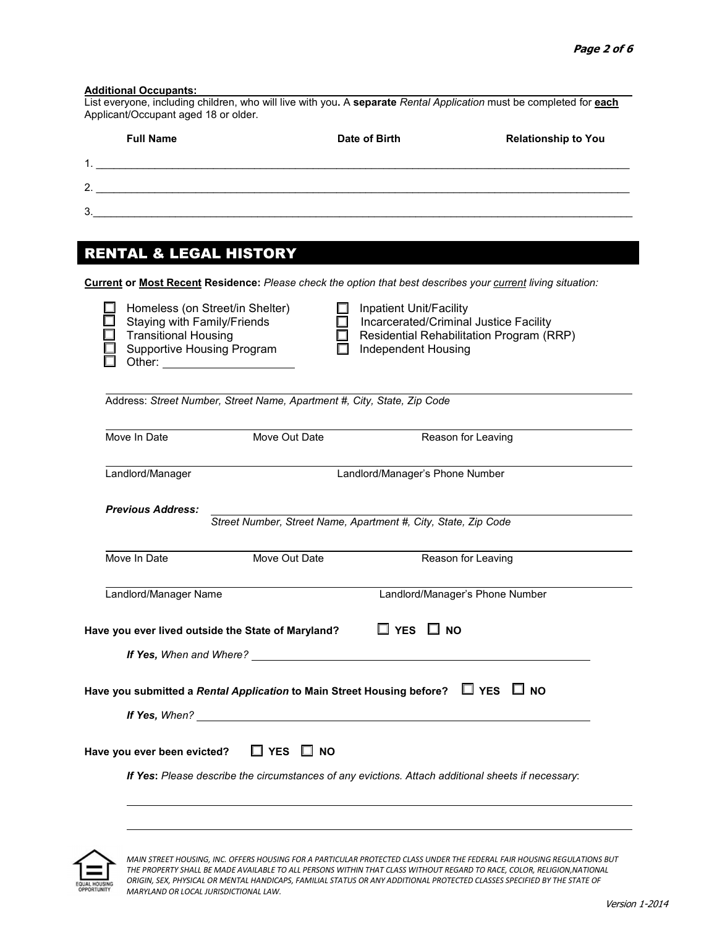| 3.<br><b>RENTAL &amp; LEGAL HISTORY</b><br>Current or Most Recent Residence: Please check the option that best describes your current living situation:<br>Homeless (on Street/in Shelter) |                                                                   |                                          |
|--------------------------------------------------------------------------------------------------------------------------------------------------------------------------------------------|-------------------------------------------------------------------|------------------------------------------|
|                                                                                                                                                                                            |                                                                   |                                          |
|                                                                                                                                                                                            |                                                                   |                                          |
|                                                                                                                                                                                            |                                                                   |                                          |
|                                                                                                                                                                                            |                                                                   |                                          |
|                                                                                                                                                                                            |                                                                   |                                          |
|                                                                                                                                                                                            |                                                                   |                                          |
|                                                                                                                                                                                            |                                                                   |                                          |
| Staying with Family/Friends                                                                                                                                                                | Inpatient Unit/Facility<br>Incarcerated/Criminal Justice Facility |                                          |
| <b>Transitional Housing</b>                                                                                                                                                                |                                                                   | Residential Rehabilitation Program (RRP) |
| Supportive Housing Program                                                                                                                                                                 | <b>Independent Housing</b>                                        |                                          |
|                                                                                                                                                                                            |                                                                   |                                          |
| Address: Street Number, Street Name, Apartment #, City, State, Zip Code                                                                                                                    |                                                                   |                                          |
|                                                                                                                                                                                            |                                                                   |                                          |
| Move In Date<br>Move Out Date                                                                                                                                                              |                                                                   | Reason for Leaving                       |
| Landlord/Manager                                                                                                                                                                           | Landlord/Manager's Phone Number                                   |                                          |
|                                                                                                                                                                                            |                                                                   |                                          |
| <b>Previous Address:</b>                                                                                                                                                                   |                                                                   |                                          |
|                                                                                                                                                                                            | Street Number, Street Name, Apartment #, City, State, Zip Code    |                                          |
| Move In Date<br>Move Out Date                                                                                                                                                              |                                                                   | Reason for Leaving                       |
|                                                                                                                                                                                            |                                                                   |                                          |
| Landlord/Manager Name                                                                                                                                                                      |                                                                   | Landlord/Manager's Phone Number          |
| Have you ever lived outside the State of Maryland?                                                                                                                                         | $\Box$ YES $\Box$ NO                                              |                                          |
|                                                                                                                                                                                            |                                                                   |                                          |
|                                                                                                                                                                                            |                                                                   |                                          |
| Have you submitted a Rental Application to Main Street Housing before? $\Box$ YES $\Box$ NO                                                                                                |                                                                   |                                          |
|                                                                                                                                                                                            |                                                                   |                                          |
|                                                                                                                                                                                            |                                                                   |                                          |
| Have you ever been evicted?<br>$\Box$ YES $\Box$ NO                                                                                                                                        |                                                                   |                                          |



֦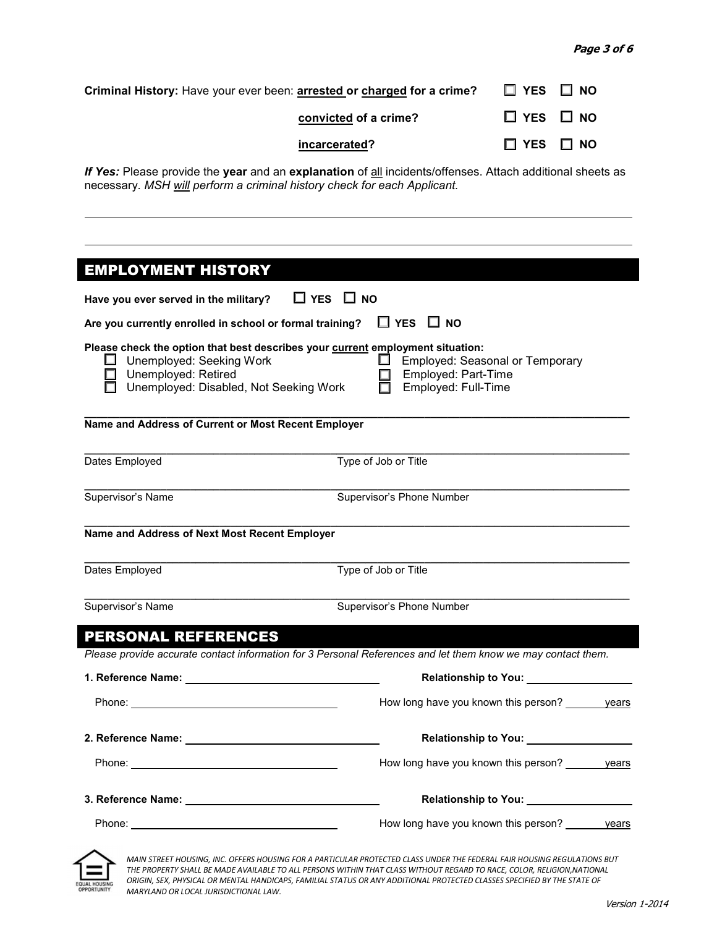| Criminal History: Have your ever been: <b>arrested or charged for a crime?</b> $\Box$ YES $\Box$ NO |                      |
|-----------------------------------------------------------------------------------------------------|----------------------|
| convicted of a crime?                                                                               | $\Box$ YES $\Box$ NO |
| incarcerated?                                                                                       | $\Box$ YES $\Box$ NO |

*If Yes: Please provide the year and an explanation of all incidents/offenses. Attach additional sheets as* necessary. *MSH will perform a criminal history check for each Applicant.*

| <b>EMPLOYMENT HISTORY</b>                                                                                                                                                                                                                                                |                                                    |  |
|--------------------------------------------------------------------------------------------------------------------------------------------------------------------------------------------------------------------------------------------------------------------------|----------------------------------------------------|--|
| $\Box$ YES $\Box$ NO<br>Have you ever served in the military?                                                                                                                                                                                                            |                                                    |  |
| $\Box$ YES $\Box$ NO<br>Are you currently enrolled in school or formal training?                                                                                                                                                                                         |                                                    |  |
| Please check the option that best describes your current employment situation:<br>Employed: Seasonal or Temporary<br>$\Box$ Unemployed: Seeking Work<br>ш<br>Employed: Part-Time<br>Unemployed: Retired<br>Employed: Full-Time<br>Unemployed: Disabled, Not Seeking Work |                                                    |  |
| Name and Address of Current or Most Recent Employer                                                                                                                                                                                                                      |                                                    |  |
| Dates Employed                                                                                                                                                                                                                                                           | Type of Job or Title                               |  |
| Supervisor's Name                                                                                                                                                                                                                                                        | Supervisor's Phone Number                          |  |
| Name and Address of Next Most Recent Employer                                                                                                                                                                                                                            |                                                    |  |
| Dates Employed                                                                                                                                                                                                                                                           | Type of Job or Title                               |  |
| Supervisor's Name<br>Supervisor's Phone Number                                                                                                                                                                                                                           |                                                    |  |
| <b>PERSONAL REFERENCES</b>                                                                                                                                                                                                                                               |                                                    |  |
| Please provide accurate contact information for 3 Personal References and let them know we may contact them.                                                                                                                                                             |                                                    |  |
|                                                                                                                                                                                                                                                                          | Relationship to You: ________________              |  |
|                                                                                                                                                                                                                                                                          | How long have you known this person? _______ years |  |
|                                                                                                                                                                                                                                                                          | Relationship to You: _________________             |  |
| Phone: The contract of the contract of the contract of the contract of the contract of the contract of the contract of the contract of the contract of the contract of the contract of the contract of the contract of the con                                           | How long have you known this person? vears         |  |
| 3. Reference Name: Mannell Allen Mannell Allen Mannell Allen Mannell Allen Mannell Allen Mannell Allen Mannell                                                                                                                                                           | Relationship to You: ____________________          |  |
|                                                                                                                                                                                                                                                                          | How long have you known this person? vears         |  |

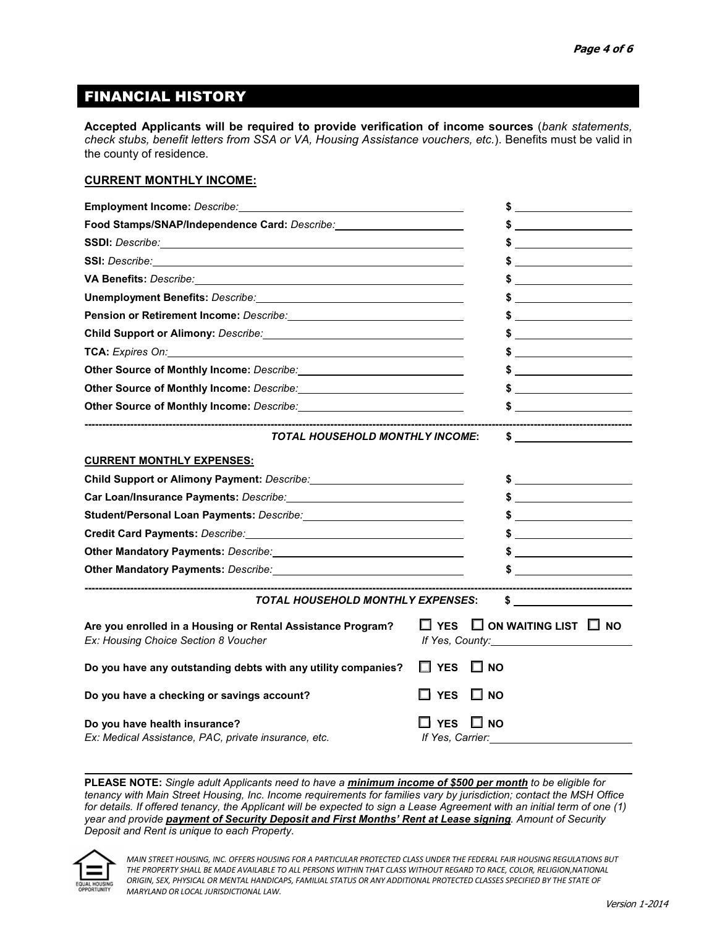### FINANCIAL HISTORY

**Accepted Applicants will be required to provide verification of income sources** (*bank statements, check stubs, benefit letters from SSA or VA, Housing Assistance vouchers, etc.*). Benefits must be valid in the county of residence.

#### **CURRENT MONTHLY INCOME:**

| Employment Income: Describe:                                                                                                                                                                                                         | \$                                                                                                                                                                                                                                                                                                                                                                                                                              |
|--------------------------------------------------------------------------------------------------------------------------------------------------------------------------------------------------------------------------------------|---------------------------------------------------------------------------------------------------------------------------------------------------------------------------------------------------------------------------------------------------------------------------------------------------------------------------------------------------------------------------------------------------------------------------------|
| Food Stamps/SNAP/Independence Card: Describe: __________________________________                                                                                                                                                     |                                                                                                                                                                                                                                                                                                                                                                                                                                 |
| SSDI: Describe: <u>contract and contract and contract and contract and contract and contract and contract and contract and contract and contract and contract and contract and contract and contract and contract and contract a</u> |                                                                                                                                                                                                                                                                                                                                                                                                                                 |
| <b>SSI:</b> Describe: <b>Example 2019</b>                                                                                                                                                                                            | \$                                                                                                                                                                                                                                                                                                                                                                                                                              |
|                                                                                                                                                                                                                                      | $\bullet$ $\qquad \qquad$                                                                                                                                                                                                                                                                                                                                                                                                       |
| Unemployment Benefits: Describe: William Communication of the Communication of the Communication of the Communication of the Communication of the Communication of the Communication of the Communication of the Communication       |                                                                                                                                                                                                                                                                                                                                                                                                                                 |
| Pension or Retirement Income: Describe: www.communications.com/                                                                                                                                                                      | $\frac{1}{2}$ $\frac{1}{2}$ $\frac{1}{2}$ $\frac{1}{2}$ $\frac{1}{2}$ $\frac{1}{2}$ $\frac{1}{2}$ $\frac{1}{2}$ $\frac{1}{2}$ $\frac{1}{2}$ $\frac{1}{2}$ $\frac{1}{2}$ $\frac{1}{2}$ $\frac{1}{2}$ $\frac{1}{2}$ $\frac{1}{2}$ $\frac{1}{2}$ $\frac{1}{2}$ $\frac{1}{2}$ $\frac{1}{2}$ $\frac{1}{2}$ $\frac{1}{2}$                                                                                                             |
| Child Support or Alimony: Describe: 2008. 2009. 2010. 2010. 2010. 2010. 2010. 2010. 2010. 2010. 2010. 2010. 20                                                                                                                       |                                                                                                                                                                                                                                                                                                                                                                                                                                 |
| TCA: Expires On: Note and the Second Second Second Second Second Second Second Second Second Second Second Second Second Second Second Second Second Second Second Second Second Second Second Second Second Second Second Sec       |                                                                                                                                                                                                                                                                                                                                                                                                                                 |
| Other Source of Monthly Income: Describe: <b>Manual Access 1996</b>                                                                                                                                                                  |                                                                                                                                                                                                                                                                                                                                                                                                                                 |
| Other Source of Monthly Income: Describe: <b>Manual Contract Contract Contract Contract Contract Contract Contract Contract Contract Contract Contract Contract Contract Contract Contract Contract Contract Contract Contract C</b> |                                                                                                                                                                                                                                                                                                                                                                                                                                 |
|                                                                                                                                                                                                                                      | $\frac{1}{2}$ $\frac{1}{2}$ $\frac{1}{2}$ $\frac{1}{2}$ $\frac{1}{2}$ $\frac{1}{2}$ $\frac{1}{2}$ $\frac{1}{2}$ $\frac{1}{2}$ $\frac{1}{2}$ $\frac{1}{2}$ $\frac{1}{2}$ $\frac{1}{2}$ $\frac{1}{2}$ $\frac{1}{2}$ $\frac{1}{2}$ $\frac{1}{2}$ $\frac{1}{2}$ $\frac{1}{2}$ $\frac{1}{2}$ $\frac{1}{2}$ $\frac{1}{2}$                                                                                                             |
| <b>TOTAL HOUSEHOLD MONTHLY INCOME:</b>                                                                                                                                                                                               | -----------------------------------<br>$\sim$ 5 and 5 and 6 and 6 and 6 and 6 and 6 and 6 and 6 and 6 and 6 and 6 and 6 and 6 and 6 and 6 and 6 and 6 and 6 and 6 and 6 and 6 and 6 and 6 and 6 and 6 and 6 and 6 and 6 and 6 and 6 and 6 and 6 and 6 and 6 and 6 and                                                                                                                                                           |
| <b>CURRENT MONTHLY EXPENSES:</b>                                                                                                                                                                                                     |                                                                                                                                                                                                                                                                                                                                                                                                                                 |
| Child Support or Alimony Payment: Describe: 2008 2014 2014 2015 2016                                                                                                                                                                 | $\sim$ 5 and 5 and 6 and 6 and 6 and 6 and 6 and 6 and 6 and 6 and 6 and 6 and 6 and 6 and 6 and 6 and 6 and 6 and 6 and 6 and 6 and 6 and 6 and 6 and 6 and 6 and 6 and 6 and 6 and 6 and 6 and 6 and 6 and 6 and 6 and 6 and                                                                                                                                                                                                  |
|                                                                                                                                                                                                                                      |                                                                                                                                                                                                                                                                                                                                                                                                                                 |
| Student/Personal Loan Payments: Describe: 2008. 2009. 2010. 2010. 2012. 2013. 2014. 2015. 2016. 2017. 2018. 20                                                                                                                       | $\frac{1}{\sqrt{1-\frac{1}{2}}}\frac{1}{\sqrt{1-\frac{1}{2}}}\frac{1}{\sqrt{1-\frac{1}{2}}}\frac{1}{\sqrt{1-\frac{1}{2}}}\frac{1}{\sqrt{1-\frac{1}{2}}}\frac{1}{\sqrt{1-\frac{1}{2}}}\frac{1}{\sqrt{1-\frac{1}{2}}}\frac{1}{\sqrt{1-\frac{1}{2}}}\frac{1}{\sqrt{1-\frac{1}{2}}}\frac{1}{\sqrt{1-\frac{1}{2}}}\frac{1}{\sqrt{1-\frac{1}{2}}}\frac{1}{\sqrt{1-\frac{1}{2}}}\frac{1}{\sqrt{1-\frac{1}{2}}}\frac{1}{\sqrt{1-\frac{$ |
|                                                                                                                                                                                                                                      | $\sim$                                                                                                                                                                                                                                                                                                                                                                                                                          |
|                                                                                                                                                                                                                                      | $\frac{1}{2}$ $\frac{1}{2}$ $\frac{1}{2}$ $\frac{1}{2}$ $\frac{1}{2}$ $\frac{1}{2}$ $\frac{1}{2}$ $\frac{1}{2}$ $\frac{1}{2}$ $\frac{1}{2}$ $\frac{1}{2}$ $\frac{1}{2}$ $\frac{1}{2}$ $\frac{1}{2}$ $\frac{1}{2}$ $\frac{1}{2}$ $\frac{1}{2}$ $\frac{1}{2}$ $\frac{1}{2}$ $\frac{1}{2}$ $\frac{1}{2}$ $\frac{1}{2}$                                                                                                             |
| Other Mandatory Payments: Describe: 2008. 2009. 2012. 2014. 2015. 2016. 2017. 2018. 2019. 2017. 2018. 2019. 20                                                                                                                       |                                                                                                                                                                                                                                                                                                                                                                                                                                 |
| <b>TOTAL HOUSEHOLD MONTHLY EXPENSES:</b>                                                                                                                                                                                             | ----------------------------------                                                                                                                                                                                                                                                                                                                                                                                              |
| Are you enrolled in a Housing or Rental Assistance Program?<br>Ex: Housing Choice Section 8 Voucher                                                                                                                                  | $\Box$ YES $\Box$ ON WAITING LIST $\Box$ NO<br>If Yes, County: 15 Mercent County:                                                                                                                                                                                                                                                                                                                                               |
| Do you have any outstanding debts with any utility companies?                                                                                                                                                                        | $\Box$ YES<br>$\Box$ NO                                                                                                                                                                                                                                                                                                                                                                                                         |
| Do you have a checking or savings account?                                                                                                                                                                                           | $\square$ NO<br>П.<br><b>YES</b>                                                                                                                                                                                                                                                                                                                                                                                                |
| Do you have health insurance?<br>Ex: Medical Assistance, PAC, private insurance, etc.                                                                                                                                                | <b>YES</b><br><b>NO</b><br>If Yes, Carrier:                                                                                                                                                                                                                                                                                                                                                                                     |

**PLEASE NOTE:** *Single adult Applicants need to have a minimum income of \$500 per month to be eligible for tenancy with Main Street Housing, Inc. Income requirements for families vary by jurisdiction; contact the MSH Office for details. If offered tenancy, the Applicant will be expected to sign a Lease Agreement with an initial term of one (1) year and provide payment of Security Deposit and First Months' Rent at Lease signing. Amount of Security Deposit and Rent is unique to each Property.* 

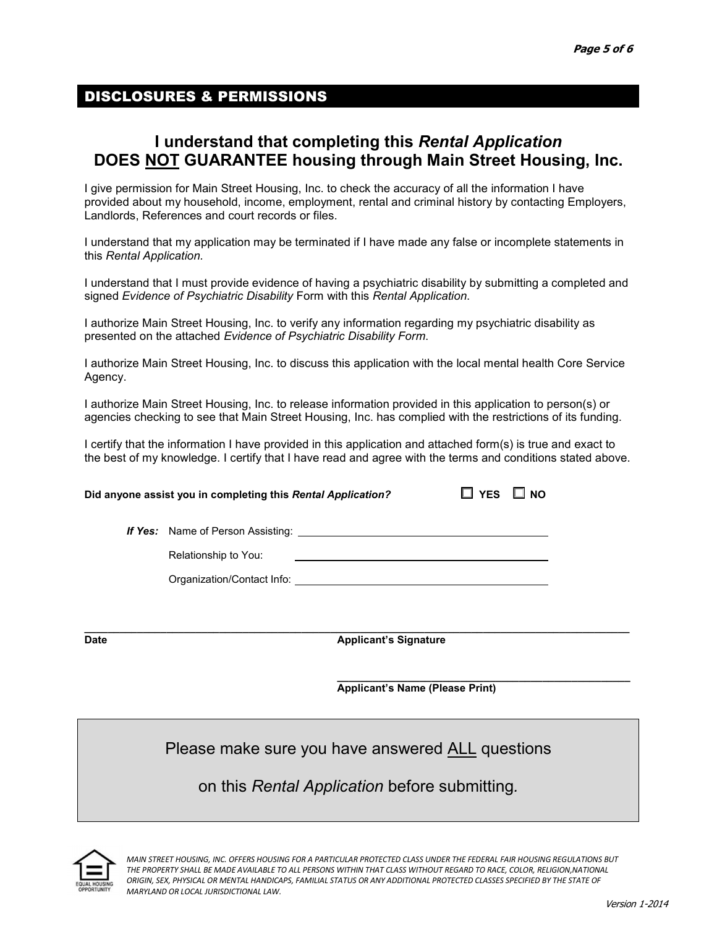## DISCLOSURES & PERMISSIONS

## **I understand that completing this** *Rental Application*  **DOES NOT GUARANTEE housing through Main Street Housing, Inc.**

I give permission for Main Street Housing, Inc. to check the accuracy of all the information I have provided about my household, income, employment, rental and criminal history by contacting Employers, Landlords, References and court records or files.

I understand that my application may be terminated if I have made any false or incomplete statements in this *Rental Application.* 

I understand that I must provide evidence of having a psychiatric disability by submitting a completed and signed *Evidence of Psychiatric Disability* Form with this *Rental Application*.

I authorize Main Street Housing, Inc. to verify any information regarding my psychiatric disability as presented on the attached *Evidence of Psychiatric Disability Form*.

I authorize Main Street Housing, Inc. to discuss this application with the local mental health Core Service Agency.

I authorize Main Street Housing, Inc. to release information provided in this application to person(s) or agencies checking to see that Main Street Housing, Inc. has complied with the restrictions of its funding.

I certify that the information I have provided in this application and attached form(s) is true and exact to the best of my knowledge. I certify that I have read and agree with the terms and conditions stated above.

| Did anyone assist you in completing this Rental Application? | $\Box$ YES $\Box$ NO |  |
|--------------------------------------------------------------|----------------------|--|
| <b>If Yes:</b> Name of Person Assisting:                     |                      |  |
| .                                                            |                      |  |

Relationship to You:

Organization/Contact Info:

**\_\_\_\_\_\_\_\_\_\_\_\_\_\_\_\_\_\_\_\_\_\_\_\_\_\_\_\_\_\_\_\_\_\_\_\_\_\_\_\_\_\_\_\_\_\_\_\_\_\_\_\_\_\_\_\_\_\_\_\_\_\_\_\_\_\_\_\_\_\_\_\_\_\_\_\_\_\_\_\_\_\_\_\_\_\_\_\_\_\_\_\_\_ Date** Applicant's Signature

> **\_\_\_\_\_\_\_\_\_\_\_\_\_\_\_\_\_\_\_\_\_\_\_\_\_\_\_\_\_\_\_\_\_\_\_\_\_\_\_\_\_\_\_\_\_\_\_\_\_\_ Applicant's Name (Please Print)**

Please make sure you have answered ALL questions

on this *Rental Application* before submitting*.*